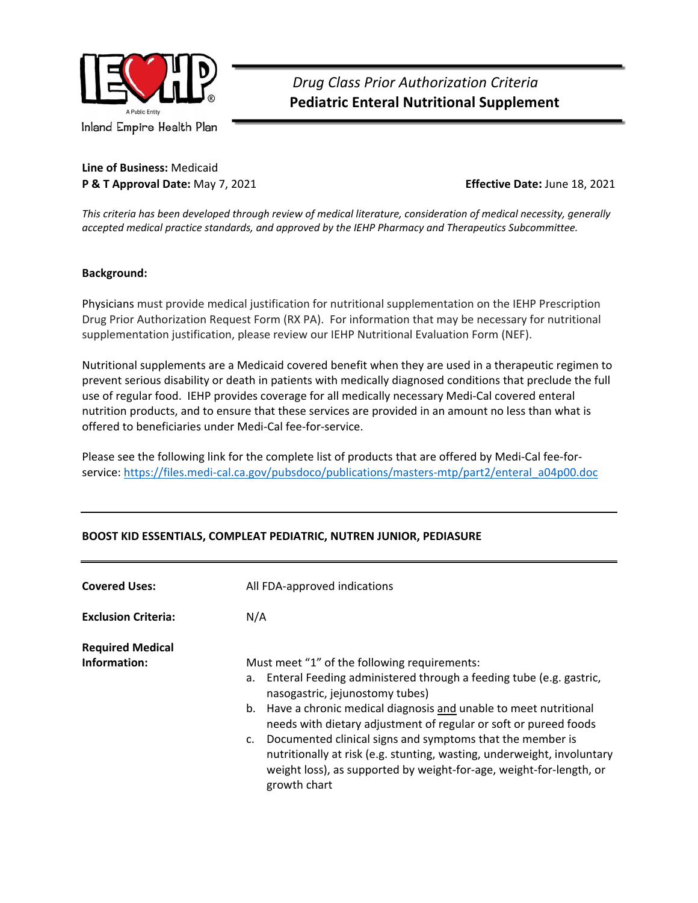

### *Drug Class Prior Authorization Criteria*   **Pediatric Enteral Nutritional Supplement**

**Line of Business:** Medicaid **P & T Approval Date:** May 7, 2021 **Effective Date:** June 18, 2021

*This criteria has been developed through review of medical literature, consideration of medical necessity, generally accepted medical practice standards, and approved by the IEHP Pharmacy and Therapeutics Subcommittee.* 

#### **Background:**

Physicians must provide medical justification for nutritional supplementation on the IEHP Prescription Drug Prior Authorization Request Form (RX PA). For information that may be necessary for nutritional supplementation justification, please review our IEHP Nutritional Evaluation Form (NEF).

Nutritional supplements are a Medicaid covered benefit when they are used in a therapeutic regimen to prevent serious disability or death in patients with medically diagnosed conditions that preclude the full use of regular food. IEHP provides coverage for all medically necessary Medi‐Cal covered enteral nutrition products, and to ensure that these services are provided in an amount no less than what is offered to beneficiaries under Medi‐Cal fee‐for‐service.

Please see the following link for the complete list of products that are offered by Medi‐Cal fee‐for‐ service: https://files.medi-cal.ca.gov/pubsdoco/publications/masters-mtp/part2/enteral\_a04p00.doc

| <b>Covered Uses:</b>       | All FDA-approved indications                                                                                                                                                                                                                                                                                                                                                                                                                                                                                                         |
|----------------------------|--------------------------------------------------------------------------------------------------------------------------------------------------------------------------------------------------------------------------------------------------------------------------------------------------------------------------------------------------------------------------------------------------------------------------------------------------------------------------------------------------------------------------------------|
| <b>Exclusion Criteria:</b> | N/A                                                                                                                                                                                                                                                                                                                                                                                                                                                                                                                                  |
| <b>Required Medical</b>    |                                                                                                                                                                                                                                                                                                                                                                                                                                                                                                                                      |
| Information:               | Must meet "1" of the following requirements:<br>a. Enteral Feeding administered through a feeding tube (e.g. gastric,<br>nasogastric, jejunostomy tubes)<br>b. Have a chronic medical diagnosis and unable to meet nutritional<br>needs with dietary adjustment of regular or soft or pureed foods<br>c. Documented clinical signs and symptoms that the member is<br>nutritionally at risk (e.g. stunting, wasting, underweight, involuntary<br>weight loss), as supported by weight-for-age, weight-for-length, or<br>growth chart |

### **BOOST KID ESSENTIALS, COMPLEAT PEDIATRIC, NUTREN JUNIOR, PEDIASURE**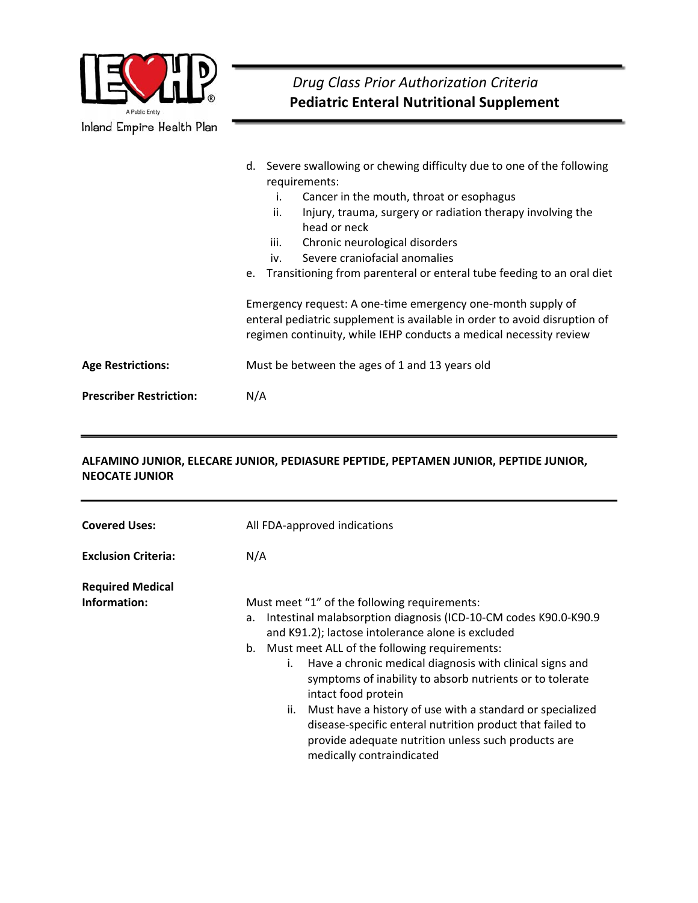

### **ALFAMINO JUNIOR, ELECARE JUNIOR, PEDIASURE PEPTIDE, PEPTAMEN JUNIOR, PEPTIDE JUNIOR, NEOCATE JUNIOR**

| <b>Covered Uses:</b>                    | All FDA-approved indications                                                                                                                                                                                                                                                                                                                                                                                                                                                                                                                                                                               |
|-----------------------------------------|------------------------------------------------------------------------------------------------------------------------------------------------------------------------------------------------------------------------------------------------------------------------------------------------------------------------------------------------------------------------------------------------------------------------------------------------------------------------------------------------------------------------------------------------------------------------------------------------------------|
| <b>Exclusion Criteria:</b>              | N/A                                                                                                                                                                                                                                                                                                                                                                                                                                                                                                                                                                                                        |
| <b>Required Medical</b><br>Information: | Must meet "1" of the following requirements:<br>Intestinal malabsorption diagnosis (ICD-10-CM codes K90.0-K90.9<br>а.<br>and K91.2); lactose intolerance alone is excluded<br>Must meet ALL of the following requirements:<br>b.<br>Have a chronic medical diagnosis with clinical signs and<br>i.<br>symptoms of inability to absorb nutrients or to tolerate<br>intact food protein<br>Must have a history of use with a standard or specialized<br>ii.<br>disease-specific enteral nutrition product that failed to<br>provide adequate nutrition unless such products are<br>medically contraindicated |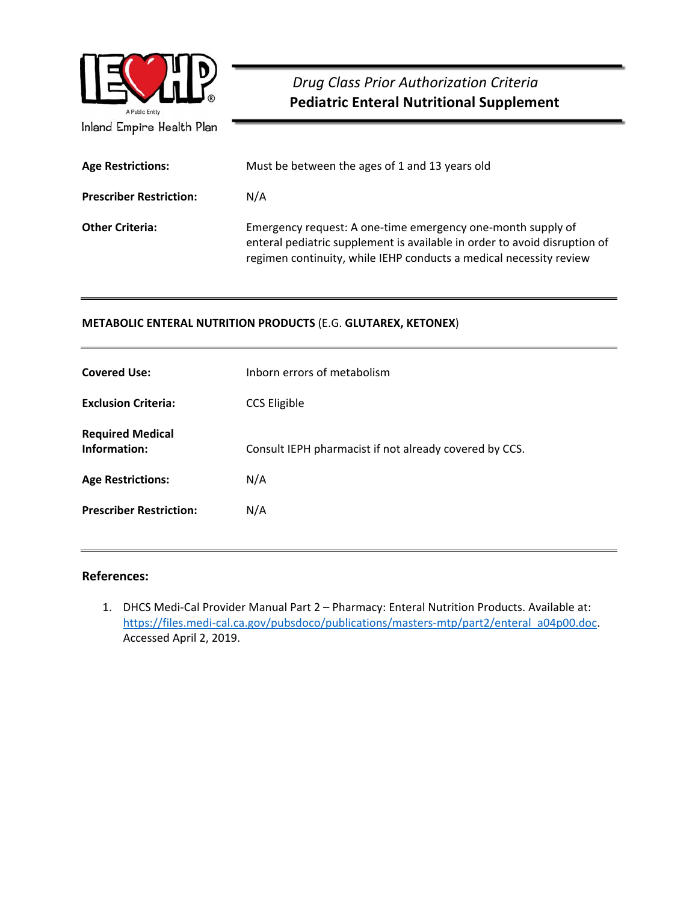

## *Drug Class Prior Authorization Criteria*  **Pediatric Enteral Nutritional Supplement**

| <b>Age Restrictions:</b>       | Must be between the ages of 1 and 13 years old                                                                                                                                                                 |
|--------------------------------|----------------------------------------------------------------------------------------------------------------------------------------------------------------------------------------------------------------|
| <b>Prescriber Restriction:</b> | N/A                                                                                                                                                                                                            |
| <b>Other Criteria:</b>         | Emergency request: A one-time emergency one-month supply of<br>enteral pediatric supplement is available in order to avoid disruption of<br>regimen continuity, while IEHP conducts a medical necessity review |

### **METABOLIC ENTERAL NUTRITION PRODUCTS** (E.G. **GLUTAREX, KETONEX**)

| <b>Covered Use:</b>                     | Inborn errors of metabolism                            |
|-----------------------------------------|--------------------------------------------------------|
| <b>Exclusion Criteria:</b>              | <b>CCS Eligible</b>                                    |
| <b>Required Medical</b><br>Information: | Consult IEPH pharmacist if not already covered by CCS. |
| <b>Age Restrictions:</b>                | N/A                                                    |
| <b>Prescriber Restriction:</b>          | N/A                                                    |
|                                         |                                                        |

### **References:**

1. DHCS Medi-Cal Provider Manual Part 2 – Pharmacy: Enteral Nutrition Products. Available at: https://files.medi-cal.ca.gov/pubsdoco/publications/masters-mtp/part2/enteral\_a04p00.doc. Accessed April 2, 2019.